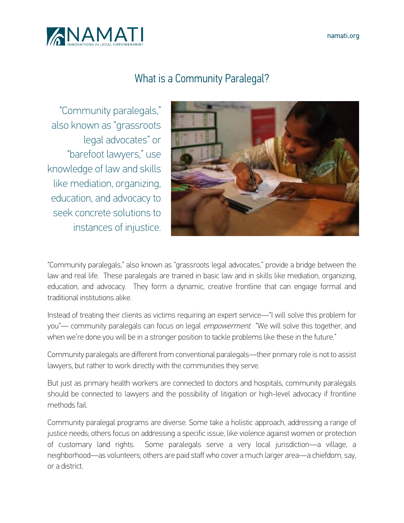

# What is a Community Paralegal?

"Community paralegals," also known as "grassroots legal advocates" or "barefoot lawyers," use knowledge of law and skills like mediation, organizing, education, and advocacy to seek concrete solutions to instances of injustice.



"Community paralegals," also known as "grassroots legal advocates," provide a bridge between the law and real life. These paralegals are trained in basic law and in skills like mediation, organizing, education, and advocacy. They form a dynamic, creative frontline that can engage formal and traditional institutions alike.

Instead of treating their clients as victims requiring an expert service—"I will solve this problem for you"— community paralegals can focus on legal *empowerment*. "We will solve this together, and when we're done you will be in a stronger position to tackle problems like these in the future."

Community paralegals are different from conventional paralegals—their primary role is not to assist lawyers, but rather to work directly with the communities they serve.

But just as primary health workers are connected to doctors and hospitals, community paralegals should be connected to lawyers and the possibility of litigation or high-level advocacy if frontline methods fail.

Community paralegal programs are diverse. Some take a holistic approach, addressing a range of justice needs; others focus on addressing a specific issue, like violence against women or protection of customary land rights. Some paralegals serve a very local jurisdiction—a village, a neighborhood—as volunteers; others are paid staff who cover a much larger area—a chiefdom, say, or a district.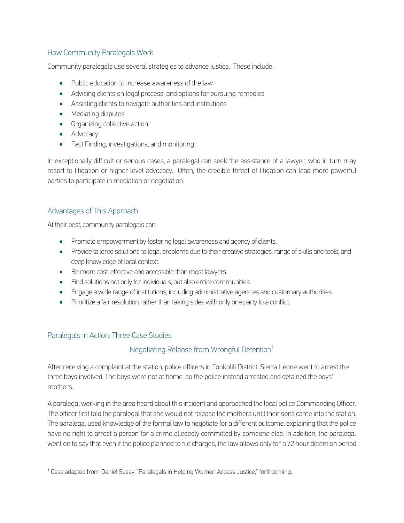## How Community Paralegals Work

Community paralegals use several strategies to advance justice. These include:

- Public education to increase awareness of the law
- Advising clients on legal process, and options for pursuing remedies
- Assisting clients to navigate authorities and institutions
- Mediating disputes
- Organizing collective action
- Advocacy
- Fact Finding, investigations, and monitoring

In exceptionally difficult or serious cases, a paralegal can seek the assistance of a lawyer, who in turn may resort to litigation or higher level advocacy. Often, the credible threat of litigation can lead more powerful parties to participate in mediation or negotiation.

#### Advantages of This Approach

At their best, community paralegals can:

- Promote empowerment by fostering legal awareness and agency of clients.
- Provide tailored solutions to legal problems due to their creative strategies, range of skills and tools, and deep knowledge of local context.
- Be more cost-effective and accessible than most lawyers.
- Find solutions not only for individuals, but also entire communities.
- Engage a wide range of institutions, including administrative agencies and customary authorities.
- Prioritize a fair resolution rather than taking sides with only one party to a conflict.

#### Paralegals in Action: Three Case Studies

l

#### Negotiating Release from Wrongful Detention<sup>1</sup>

After receiving a complaint at the station, police officers in Tonkolili District, Sierra Leone went to arrest the three boys involved. The boys were not at home, so the police instead arrested and detained the boys' mothers.

A paralegal working in the area heard about this incident and approached the local police Commanding Officer. The officer first told the paralegal that she would not release the mothers until their sons came into the station. The paralegal used knowledge of the formal law to negotiate for a different outcome, explaining that the police have no right to arrest a person for a crime allegedly committed by someone else. In addition, the paralegal went on to say that even if the police planned to file charges, the law allows only for a 72 hour detention period

<sup>&</sup>lt;sup>1</sup> Case adapted from Daniel Sesay, "Paralegals in Helping Women Access Justice," forthcoming.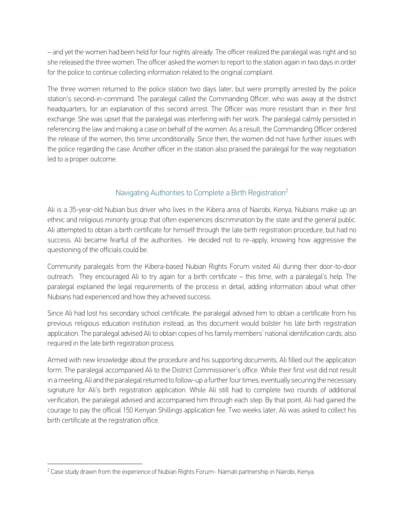– and yet the women had been held for four nights already. The officer realized the paralegal was right and so she released the three women. The officer asked the women to report to the station again in two days in order for the police to continue collecting information related to the original complaint.

The three women returned to the police station two days later, but were promptly arrested by the police station's second-in-command. The paralegal called the Commanding Officer, who was away at the district headquarters, for an explanation of this second arrest. The Officer was more resistant than in their first exchange. She was upset that the paralegal was interfering with her work. The paralegal calmly persisted in referencing the law and making a case on behalf of the women. As a result, the Commanding Officer ordered the release of the women, this time unconditionally. Since then, the women did not have further issues with the police regarding the case. Another officer in the station also praised the paralegal for the way negotiation led to a proper outcome.

# Navigating Authorities to Complete a Birth Registration<sup>2</sup>

Ali is a 35-year-old Nubian bus driver who lives in the Kibera area of Nairobi, Kenya. Nubians make up an ethnic and religious minority group that often experiences discrimination by the state and the general public. Ali attempted to obtain a birth certificate for himself through the late birth registration procedure, but had no success. Ali became fearful of the authorities. He decided not to re-apply, knowing how aggressive the questioning of the officials could be.

Community paralegals from the Kibera-based Nubian Rights Forum visited Ali during their door-to-door outreach. They encouraged Ali to try again for a birth certificate – this time, with a paralegal's help. The paralegal explained the legal requirements of the process in detail, adding information about what other Nubians had experienced and how they achieved success.

Since Ali had lost his secondary school certificate, the paralegal advised him to obtain a certificate from his previous religious education institution instead, as this document would bolster his late birth registration application. The paralegal advised Ali to obtain copies of his family members' national identification cards, also required in the late birth registration process.

Armed with new knowledge about the procedure and his supporting documents, Ali filled out the application form. The paralegal accompanied Ali to the District Commissioner's office. While their first visit did not result in a meeting, Ali and the paralegal returned to follow-up a further four times, eventually securing the necessary signature for Ali's birth registration application. While Ali still had to complete two rounds of additional verification, the paralegal advised and accompanied him through each step. By that point, Ali had gained the courage to pay the official 150 Kenyan Shillings application fee. Two weeks later, Ali was asked to collect his birth certificate at the registration office.

l  $^2$  Case study drawn from the experience of Nubian Rights Forum- Namati partnership in Nairobi, Kenya.